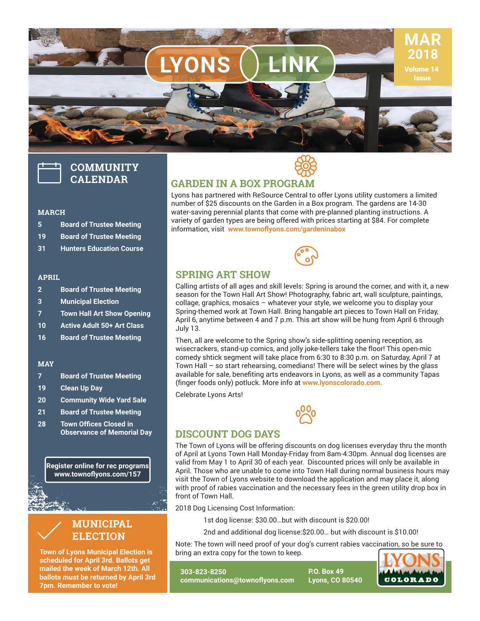

# **COMMUNITY CALENDAR**

#### **MARCH**

- **5 Board of Trustee Meeting**
- **19 Board of Trustee Meeting**
- **31 Hunters Education Course**

#### **APRIL**

- **2 Board of Trustee Meeting**
- **3 Municipal Election**
- **7 Town Hall Art Show Opening**
- **10 Active Adult 50+ Art Class**
- **16 Board of Trustee Meeting**

#### **MAY**

- **7 Board of Trustee Meeting**
- **19 Clean Up Day**
- **20 Community Wide Yard Sale**
- **21 Board of Trustee Meeting**
- **28 Town Offices Closed in Observance of Memorial Day**

**Register online for rec programs** www.townoflyons.com/157



**Town of Lyons Municipal Election is scheduled for April 3rd. Ballots get mailed the week of March 12th. All ballots must be returned by April 3rd 7pm. Remember to vote!** 



### **GARDEN IN A BOX PROGRAM**

Lyons has partnered with ReSource Central to offer Lyons utility customers a limited number of \$25 discounts on the Garden in a Box program. The gardens are 14-30 water-saving perennial plants that come with pre-planned planting instructions. A variety of garden types are being offered with prices starting at \$84. For complete information, visit www.townoflyons.com/gardeninabox



### **SPRING ART SHOW**

Calling artists of all ages and skill levels: Spring is around the corner, and with it, a new season for the Town Hall Art Show! Photography, fabric art, wall sculpture, paintings, collage, graphics, mosaics – whatever your style, we welcome you to display your Spring-themed work at Town Hall. Bring hangable art pieces to Town Hall on Friday, April 6, anytime between 4 and 7 p.m. This art show will be hung from April 6 through July 13.

Then, all are welcome to the Spring show's side-splitting opening reception, as wisecrackers, stand-up comics, and jolly joke-tellers take the floor! This open-mic comedy shtick segment will take place from 6:30 to 8:30 p.m. on Saturday, April 7 at Town Hall – so start rehearsing, comedians! There will be select wines by the glass available for sale, benefiting arts endeavors in Lyons, as well as a community Tapas (finger foods only) potluck. More info at www.lyonscolorado.com.

Celebrate Lyons Arts!



#### **DISCOUNT DOG DAYS**

The Town of Lyons will be offering discounts on dog licenses everyday thru the month of April at Lyons Town Hall Monday-Friday from 8am-4:30pm. Annual dog licenses are valid from May 1 to April 30 of each year. Discounted prices will only be available in April. Those who are unable to come into Town Hall during normal business hours may visit the Town of Lyons website to download the application and may place it, along with proof of rabies vaccination and the necessary fees in the green utility drop box in front of Town Hall.

2018 Dog Licensing Cost Information:

1st dog license: \$30.00…but with discount is \$20.00!

2nd and additional dog license:\$20.00… but with discount is \$10.00!

Note: The town will need proof of your dog's current rabies vaccination, so be sure to bring an extra copy for the town to keep.

**303-823-8250 communications@townofl yons.com** **P.O. Box 49 Lyons, CO 80540**

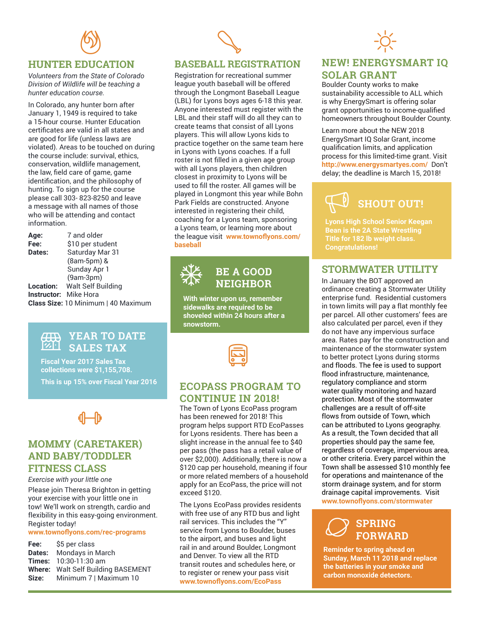

## **HUNTER EDUCATION**

*Volunteers from the State of Colorado Division of Wildlife will be teaching a hunter education course.* 

In Colorado, any hunter born after January 1, 1949 is required to take a 15-hour course. Hunter Education certificates are valid in all states and are good for life (unless laws are violated). Areas to be touched on during the course include: survival, ethics, conservation, wildlife management, the law, field care of game, game identification, and the philosophy of hunting. To sign up for the course please call 303- 823-8250 and leave a message with all names of those who will be attending and contact information.

Age: 7 and older **Fee:** \$10 per student **Dates:** Saturday Mar 31 (8am-5pm) & Sunday Apr 1 (9am-3pm) **Location:** Walt Self Building **Instructor:** Mike Hora **Class Size:** 10 Minimum | 40 Maximum

#### $\overline{41}$ **YEAR TO DATE SALES TAX** 倒

**Fiscal Year 2017 Sales Tax collections were \$1,155,708. This is up 15% over Fiscal Year 2016**

# **1 0**

## **MOMMY (CARETAKER) AND BABY/TODDLER FITNESS CLASS**

#### *Exercise with your little one*

Please join Theresa Brighton in getting your exercise with your little one in tow! We'll work on strength, cardio and flexibility in this easy-going environment. Register today!

#### www.townoflyons.com/rec-programs

| Fee:          | \$5 per class                             |
|---------------|-------------------------------------------|
| <b>Dates:</b> | Mondays in March                          |
|               | <b>Times:</b> 10:30-11:30 am              |
|               | <b>Where:</b> Walt Self Building BASEMENT |
| Size:         | Minimum 7   Maximum 10                    |

## **BASEBALL REGISTRATION**

 $\mathscr{S}$ 

Registration for recreational summer league youth baseball will be offered through the Longmont Baseball League (LBL) for Lyons boys ages 6-18 this year. Anyone interested must register with the LBL and their staff will do all they can to create teams that consist of all Lyons players. This will allow Lyons kids to practice together on the same team here in Lyons with Lyons coaches. If a full roster is not filled in a given age group with all Lyons players, then children closest in proximity to Lyons will be used to fill the roster. All games will be played in Longmont this year while Bohn Park Fields are constructed. Anyone interested in registering their child, coaching for a Lyons team, sponsoring a Lyons team, or learning more about the league visit www.townoflyons.com/ **baseball**



## **BE A GOOD NEIGHBOR**

**With winter upon us, remember sidewalks are required to be shoveled within 24 hours after a snowstorm.**



## **ECOPASS PROGRAM TO CONTINUE IN 2018!**

The Town of Lyons EcoPass program has been renewed for 2018! This program helps support RTD EcoPasses for Lyons residents. There has been a slight increase in the annual fee to \$40 per pass (the pass has a retail value of over \$2,000). Additionally, there is now a \$120 cap per household, meaning if four or more related members of a household apply for an EcoPass, the price will not exceed \$120.

The Lyons EcoPass provides residents with free use of any RTD bus and light rail services. This includes the "Y" service from Lyons to Boulder, buses to the airport, and buses and light rail in and around Boulder, Longmont and Denver. To view all the RTD transit routes and schedules here, or to register or renew your pass visit **www.townofl yons.com/EcoPass**



## **NEW! ENERGYSMART IQ SOLAR GRANT**

Boulder County works to make sustainability accessible to ALL which is why EnergySmart is offering solar grant opportunities to income-qualified homeowners throughout Boulder County.

Learn more about the NEW 2018 EnergySmart IQ Solar Grant, income qualification limits, and application process for this limited-time grant. Visit **http://www.energysmartyes.com/** Don't delay; the deadline is March 15, 2018!

# **SHOUT OUT!**

**Lyons High School Senior Keegan Bean is the 2A State Wrestling Title for 182 lb weight class. Congratulations!**

### **STORMWATER UTILITY**

In January the BOT approved an ordinance creating a Stormwater Utility enterprise fund. Residential customers in town limits will pay a flat monthly fee per parcel. All other customers' fees are also calculated per parcel, even if they do not have any impervious surface area. Rates pay for the construction and maintenance of the stormwater system to better protect Lyons during storms and floods. The fee is used to support flood infrastructure, maintenance, regulatory compliance and storm water quality monitoring and hazard protection. Most of the stormwater challenges are a result of off-site flows from outside of Town, which can be attributed to Lyons geography. As a result, the Town decided that all properties should pay the same fee, regardless of coverage, impervious area, or other criteria. Every parcel within the Town shall be assessed \$10 monthly fee for operations and maintenance of the storm drainage system, and for storm drainage capital improvements. Visit **www.townofl yons.com/stormwater**

#### $\sqrt{2}$ **SPRING FORWARD**  $\varnothing$

**Reminder to spring ahead on Sunday, March 11 2018 and replace the batteries in your smoke and carbon monoxide detectors.**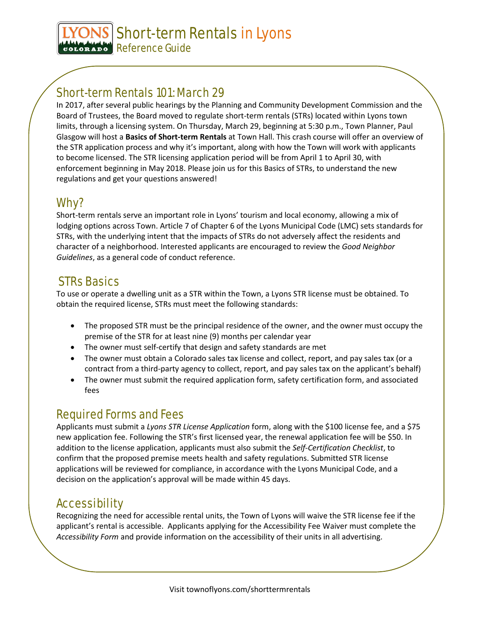Short-term Rentals in Lyons GOLORADO Reference Guide

# Short-term Rentals 101: March 29

In 2017, after several public hearings by the Planning and Community Development Commission and the Board of Trustees, the Board moved to regulate short-term rentals (STRs) located within Lyons town limits, through a licensing system. On Thursday, March 29, beginning at 5:30 p.m., Town Planner, Paul Glasgow will host a **Basics of Short-term Rentals** at Town Hall. This crash course will offer an overview of the STR application process and why it's important, along with how the Town will work with applicants to become licensed. The STR licensing application period will be from April 1 to April 30, with enforcement beginning in May 2018. Please join us for this Basics of STRs, to understand the new regulations and get your questions answered!

# Why?

Short-term rentals serve an important role in Lyons' tourism and local economy, allowing a mix of lodging options across Town. Article 7 of Chapter 6 of the Lyons Municipal Code (LMC) sets standards for STRs, with the underlying intent that the impacts of STRs do not adversely affect the residents and character of a neighborhood. Interested applicants are encouraged to review the *Good Neighbor Guidelines*, as a general code of conduct reference.

# STRs Basics

To use or operate a dwelling unit as a STR within the Town, a Lyons STR license must be obtained. To obtain the required license, STRs must meet the following standards:

- The proposed STR must be the principal residence of the owner, and the owner must occupy the premise of the STR for at least nine (9) months per calendar year
- The owner must self-certify that design and safety standards are met
- The owner must obtain a Colorado sales tax license and collect, report, and pay sales tax (or a contract from a third-party agency to collect, report, and pay sales tax on the applicant's behalf)
- The owner must submit the required application form, safety certification form, and associated fees

## Required Forms and Fees

Applicants must submit a *Lyons STR License Application* form, along with the \$100 license fee, and a \$75 new application fee. Following the STR's first licensed year, the renewal application fee will be \$50. In addition to the license application, applicants must also submit the *Self-Certification Checklist*, to confirm that the proposed premise meets health and safety regulations. Submitted STR license applications will be reviewed for compliance, in accordance with the Lyons Municipal Code, and a decision on the application's approval will be made within 45 days.

# Accessibility

Recognizing the need for accessible rental units, the Town of Lyons will waive the STR license fee if the applicant's rental is accessible. Applicants applying for the Accessibility Fee Waiver must complete the *Accessibility Form* and provide information on the accessibility of their units in all advertising.